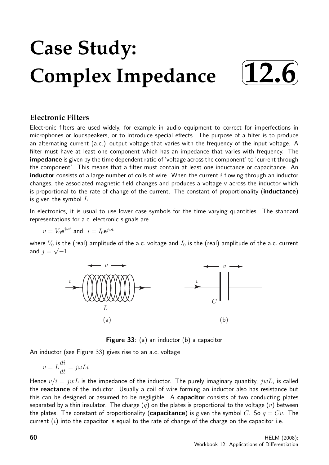# **Case Study: Complex Impedance**



## **Electronic Filters**

Electronic filters are used widely, for example in audio equipment to correct for imperfections in microphones or loudspeakers, or to introduce special effects. The purpose of a filter is to produce an alternating current (a.c.) output voltage that varies with the frequency of the input voltage. A filter must have at least one component which has an impedance that varies with frequency. The impedance is given by the time dependent ratio of 'voltage across the component' to 'current through the component'. This means that a filter must contain at least one inductance or capacitance. An **inductor** consists of a large number of coils of wire. When the current  $i$  flowing through an inductor changes, the associated magnetic field changes and produces a voltage v across the inductor which is proportional to the rate of change of the current. The constant of proportionality (inductance) is given the symbol  $L$ .

In electronics, it is usual to use lower case symbols for the time varying quantities. The standard representations for a.c. electronic signals are

 $v = V_0 e^{j\omega t}$  and  $i = I_0 e^{j\omega t}$ 

where  $V_0$  is the (real) amplitude of the a.c. voltage and  $I_0$  is the (real) amplitude of the a.c. current and  $j=\sqrt{-1}$ .



Figure 33: (a) an inductor (b) a capacitor

An inductor (see Figure 33) gives rise to an a.c. voltage

$$
v=L\frac{di}{dt}=j\omega L i
$$

Hence  $v/i = jwL$  is the impedance of the inductor. The purely imaginary quantity,  $jwL$ , is called the reactance of the inductor. Usually a coil of wire forming an inductor also has resistance but this can be designed or assumed to be negligible. A **capacitor** consists of two conducting plates separated by a thin insulator. The charge  $(q)$  on the plates is proportional to the voltage  $(v)$  between the plates. The constant of proportionality (capacitance) is given the symbol C. So  $q = Cv$ . The current  $(i)$  into the capacitor is equal to the rate of change of the charge on the capacitor i.e.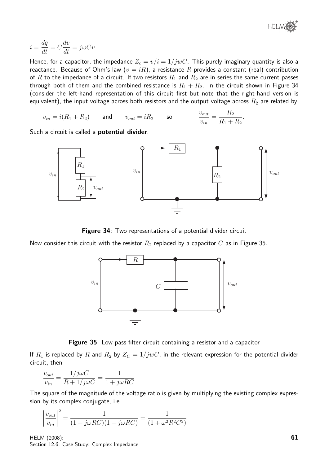

$$
i = \frac{dq}{dt} = C\frac{dv}{dt} = j\omega Cv.
$$

Hence, for a capacitor, the impedance  $Z_c = v/i = 1/jwC$ . This purely imaginary quantity is also a reactance. Because of Ohm's law  $(v = iR)$ , a resistance R provides a constant (real) contribution of R to the impedance of a circuit. If two resistors  $R_1$  and  $R_2$  are in series the same current passes through both of them and the combined resistance is  $R_1 + R_2$ . In the circuit shown in Figure 34 (consider the left-hand representation of this circuit first but note that the right-hand version is equivalent), the input voltage across both resistors and the output voltage across  $R_2$  are related by

$$
v_{in} = i(R_1 + R_2) \qquad \text{and} \qquad v_{out} = iR_2 \qquad \text{so} \qquad \qquad \frac{v_{out}}{v_{in}} = \frac{R_2}{R_1 + R_2}.
$$

Such a circuit is called a **potential divider**.



Figure 34: Two representations of a potential divider circuit

Now consider this circuit with the resistor  $R_2$  replaced by a capacitor  $C$  as in Figure 35.



Figure 35: Low pass filter circuit containing a resistor and a capacitor

If  $R_1$  is replaced by R and  $R_2$  by  $Z_C = 1/jwC$ , in the relevant expression for the potential divider circuit, then

$$
\frac{v_{out}}{v_{in}} = \frac{1/j\omega C}{R + 1/j\omega C} = \frac{1}{1 + j\omega RC}
$$

The square of the magnitude of the voltage ratio is given by multiplying the existing complex expression by its complex conjugate, i.e.

$$
\left| \frac{v_{out}}{v_{in}} \right|^2 = \frac{1}{(1 + j\omega RC)(1 - j\omega RC)} = \frac{1}{(1 + \omega^2 R^2 C^2)}
$$

HELM (2008): Section 12.6: Case Study: Complex Impedance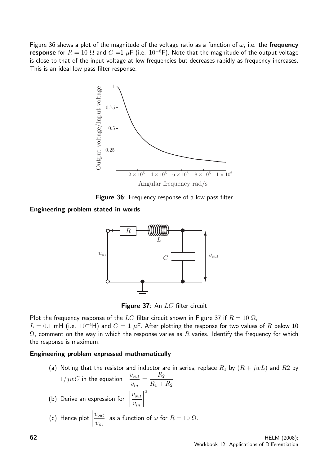Figure 36 shows a plot of the magnitude of the voltage ratio as a function of  $\omega$ , i.e. the **frequency** response for  $R = 10 \Omega$  and  $C = 1 \mu$ F (i.e.  $10^{-6}$ F). Note that the magnitude of the output voltage is close to that of the input voltage at low frequencies but decreases rapidly as frequency increases. This is an ideal low pass filter response.



Figure 36: Frequency response of a low pass filter

Engineering problem stated in words



Figure 37: An LC filter circuit

Plot the frequency response of the LC filter circuit shown in Figure 37 if  $R = 10 \Omega$ , L = 0.1 mH (i.e.  $10^{-4}$ H) and  $C = 1$  µF. After plotting the response for two values of R below 10  $\Omega$ , comment on the way in which the response varies as R varies. Identify the frequency for which

#### Engineering problem expressed mathematically

the response is maximum.

(a) Noting that the resistor and inductor are in series, replace  $R_1$  by  $(R + jwL)$  and  $R2$  by  $R<sub>2</sub>$ 

1/jwC in the equation 
$$
\frac{v_{out}}{v_{in}} = \frac{R_2}{R_1 + R_2}
$$
  
(b) Derive an expression for  $\left| \frac{v_{out}}{v_{in}} \right|^2$   
(c) Hence plot  $\left| \frac{v_{out}}{v_{in}} \right|$  as a function of  $\omega$  for  $R = 10 \Omega$ .